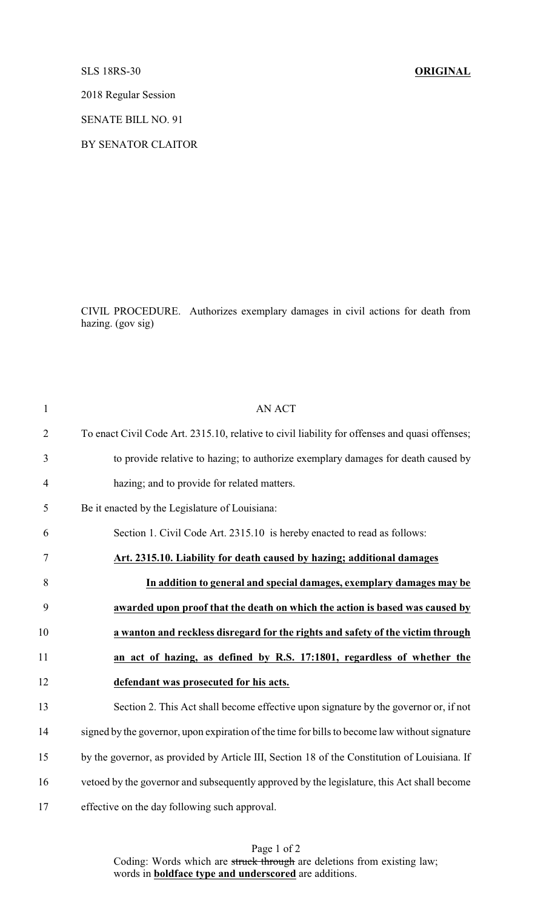SLS 18RS-30 **ORIGINAL**

2018 Regular Session

SENATE BILL NO. 91

BY SENATOR CLAITOR

CIVIL PROCEDURE. Authorizes exemplary damages in civil actions for death from hazing. (gov sig)

| $\mathbf{1}$   | <b>AN ACT</b>                                                                                  |
|----------------|------------------------------------------------------------------------------------------------|
| $\overline{2}$ | To enact Civil Code Art. 2315.10, relative to civil liability for offenses and quasi offenses; |
| 3              | to provide relative to hazing; to authorize exemplary damages for death caused by              |
| $\overline{4}$ | hazing; and to provide for related matters.                                                    |
| 5              | Be it enacted by the Legislature of Louisiana:                                                 |
| 6              | Section 1. Civil Code Art. 2315.10 is hereby enacted to read as follows:                       |
| 7              | Art. 2315.10. Liability for death caused by hazing; additional damages                         |
| 8              | In addition to general and special damages, exemplary damages may be                           |
| 9              | awarded upon proof that the death on which the action is based was caused by                   |
| 10             | a wanton and reckless disregard for the rights and safety of the victim through                |
| 11             | an act of hazing, as defined by R.S. 17:1801, regardless of whether the                        |
| 12             | defendant was prosecuted for his acts.                                                         |
| 13             | Section 2. This Act shall become effective upon signature by the governor or, if not           |
| 14             | signed by the governor, upon expiration of the time for bills to become law without signature  |
| 15             | by the governor, as provided by Article III, Section 18 of the Constitution of Louisiana. If   |
| 16             | vetoed by the governor and subsequently approved by the legislature, this Act shall become     |
| 17             | effective on the day following such approval.                                                  |

Page 1 of 2 Coding: Words which are struck through are deletions from existing law; words in **boldface type and underscored** are additions.